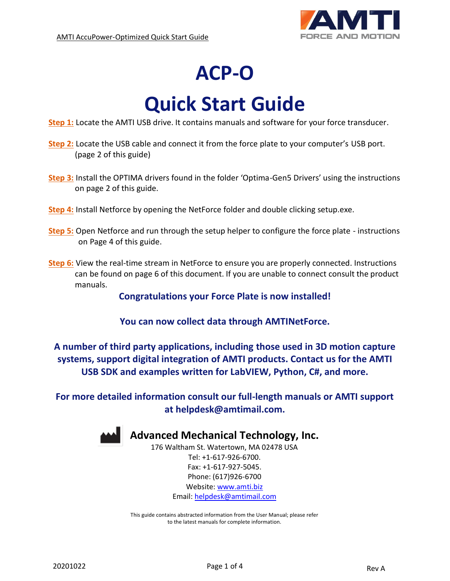

## **ACP-O**

# **Quick Start Guide**

**[Step 1:](#page-1-0)** Locate the AMTI USB drive. It contains manuals and software for your force transducer.

- **[Step 2:](#page-1-1)** Locate the USB cable and connect it from the force plate to your computer's USB port. (page 2 of this guide)
- **[Step 3:](#page-1-2)** Install the OPTIMA drivers found in the folder 'Optima-Gen5 Drivers' using the instructions on page 2 of this guide.
- **[Step 4:](#page-2-0)** Install Netforce by opening the NetForce folder and double clicking setup.exe.
- **[Step 5:](#page-2-1)** Open Netforce and run through the setup helper to configure the force plate instructions on Page 4 of this guide.
- **[Step 6:](#page-3-0)** View the real-time stream in NetForce to ensure you are properly connected. Instructions can be found on page 6 of this document. If you are unable to connect consult the product manuals.

**Congratulations your Force Plate is now installed!**

**You can now collect data through AMTINetForce.**

**A number of third party applications, including those used in 3D motion capture systems, support digital integration of AMTI products. Contact us for the AMTI USB SDK and examples written for LabVIEW, Python, C#, and more.**

**For more detailed information consult our full-length manuals or AMTI support at [helpdesk@amtimail.com.](mailto:helpdesk@amtimail.com)**



### **Advanced Mechanical Technology, Inc.**

176 Waltham St. Watertown, MA 02478 USA Tel: +1-617-926-6700. Fax: +1-617-927-5045. Phone: (617)926-6700 Website[: www.amti.biz](http://www.amti.biz/) Email: [helpdesk@amtimail.com](mailto:helpdesk@amtimail.com)

This guide contains abstracted information from the User Manual; please refer to the latest manuals for complete information.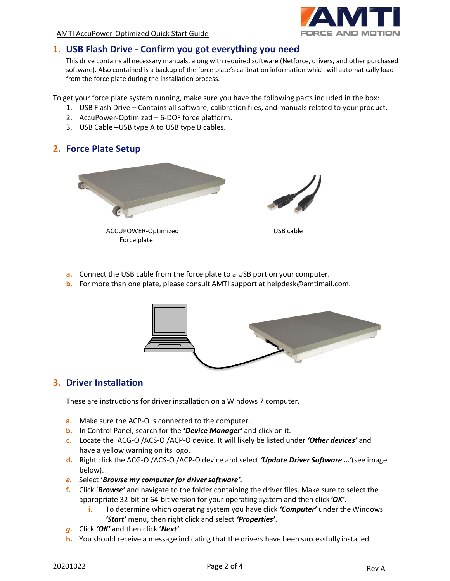

AMTI AccuPower-Optimized Quick Start Guide

#### <span id="page-1-0"></span>**1. USB Flash Drive - Confirm you got everything you need**

This drive contains all necessary manuals, along with required software (Netforce, drivers, and other purchased software). Also contained is a backup of the force plate's calibration information which will automatically load from the force plate during the installation process.

To get your force plate system running, make sure you have the following parts included in the box:

- 1. USB Flash Drive Contains all software, calibration files, and manuals related to your product.
- 2. AccuPower-Optimized 6-DOF force platform.
- 3. USB Cable –USB type A to USB type B cables.

#### <span id="page-1-1"></span>**2. Force Plate Setup**



 ACCUPOWER-Optimized Force plate



USB cable

- **a.** Connect the USB cable from the force plate to a USB port on your computer.
- **b.** For more than one plate, please consult AMTI support at helpdesk@amtimail.com.



#### <span id="page-1-2"></span>**3. Driver Installation**

These are instructions for driver installation on a Windows 7 computer.

- **a.** Make sure the ACP-O is connected to the computer.
- **b.** In Control Panel, search for the **'***Device Manager'* and click on it.
- **c.** Locate the ACG-O /ACS-O /ACP-O device. It will likely be listed under *'Other devices'* and have a yellow warning on its logo.
- **d.** Right click the ACG-O /ACS-O /ACP-O device and select *'Update Driver Software …'*(see image below).
- *e.* Select '*Browse my computer for driversoftware'.*
- **f.** Click '*Browse'* and navigate to the folder containing the driver files. Make sure to select the appropriate 32-bit or 64-bit version for your operating system and then click*'OK'*.
	- **i.** To determine which operating system you have click *'Computer'* under the Windows *'Start'* menu, then right click and select *'Properties'*.
- *g.* Click *'OK'* and then click '*Next'*
- **h.** You should receive a message indicating that the drivers have been successfully installed.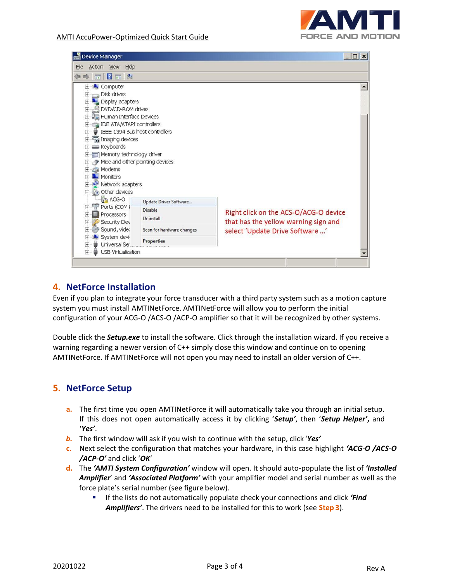

| Device Manager<br>$ \Box$ $\times$                         |                           |                                       |  |  |  |
|------------------------------------------------------------|---------------------------|---------------------------------------|--|--|--|
| File<br>Action View<br>Help                                |                           |                                       |  |  |  |
| $\vert$ <sub>3</sub><br>同時<br>$\sqrt{14}$<br>$\Rightarrow$ |                           |                                       |  |  |  |
| E-IL Computer                                              |                           |                                       |  |  |  |
| Disk drives<br>田                                           |                           |                                       |  |  |  |
| <b>E</b> Display adapters                                  |                           |                                       |  |  |  |
| DVD/CD-ROM drives<br>田                                     |                           |                                       |  |  |  |
| <b>H</b> D <sub>an</sub> Human Interface Devices           |                           |                                       |  |  |  |
| <b>E</b> Le IDE ATA/ATAPI controllers                      |                           |                                       |  |  |  |
| E- U IEEE 1394 Bus host controllers                        |                           |                                       |  |  |  |
| El Fal Imaging devices                                     |                           |                                       |  |  |  |
| E Keyboards                                                |                           |                                       |  |  |  |
| Memory technology driver                                   |                           |                                       |  |  |  |
| Mice and other pointing devices                            |                           |                                       |  |  |  |
| El-Ca Modems                                               |                           |                                       |  |  |  |
| <b>THE Monitors</b>                                        |                           |                                       |  |  |  |
| Network adapters                                           |                           |                                       |  |  |  |
| <b>E-R<sub>3</sub></b> Other devices                       |                           |                                       |  |  |  |
| <b>ACG-O</b>                                               | Update Driver Software    |                                       |  |  |  |
| E Ports (COM {                                             | Disable                   | Right click on the ACS-O/ACG-O device |  |  |  |
| Processors<br>田                                            | Uninstall                 |                                       |  |  |  |
| Security Dev<br>田                                          |                           | that has the yellow warning sign and  |  |  |  |
| Sound, video<br>田                                          | Scan for hardware changes | select 'Update Drive Software '       |  |  |  |
| System devi<br>田                                           | <b>Properties</b>         |                                       |  |  |  |
| Universal Ser<br>田                                         |                           |                                       |  |  |  |
| 田<br>USB Virtualization                                    |                           |                                       |  |  |  |

#### <span id="page-2-0"></span>**4. NetForce Installation**

Even if you plan to integrate your force transducer with a third party system such as a motion capture system you must install AMTINetForce. AMTINetForce will allow you to perform the initial configuration of your ACG-O /ACS-O /ACP-O amplifier so that it will be recognized by other systems.

Double click the *Setup.exe* to install the software. Click through the installation wizard. If you receive a warning regarding a newer version of C++ simply close this window and continue on to opening AMTINetForce. If AMTINetForce will not open you may need to install an older version of C++.

#### <span id="page-2-1"></span>**5. NetForce Setup**

- **a.** The first time you open AMTINetForce it will automatically take you through an initial setup. If this does not open automatically access it by clicking '*Setup'*, then '*Setup Helper'***,** and '*Yes'*.
- *b.* The first window will ask if you wish to continue with the setup, click '*Yes'*
- **c.** Next select the configuration that matches your hardware, in this case highlight *'ACG-O /ACS-O /ACP-O'* and click '*OK*'
- **d.** The *'AMTI System Configuration'* window will open. It should auto-populate the list of *'Installed Amplifier*' and *'Associated Platform'* with your amplifier model and serial number as well as the force plate's serial number (see figure below).
	- **If the lists do not automatically populate check your connections and click 'Find** *Amplifiers'*. The drivers need to be installed for this to work (see **Step 3**).